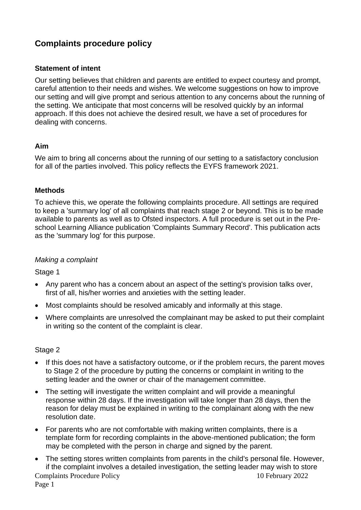# **Complaints procedure policy**

## **Statement of intent**

Our setting believes that children and parents are entitled to expect courtesy and prompt, careful attention to their needs and wishes. We welcome suggestions on how to improve our setting and will give prompt and serious attention to any concerns about the running of the setting. We anticipate that most concerns will be resolved quickly by an informal approach. If this does not achieve the desired result, we have a set of procedures for dealing with concerns.

## **Aim**

We aim to bring all concerns about the running of our setting to a satisfactory conclusion for all of the parties involved. This policy reflects the EYFS framework 2021.

## **Methods**

To achieve this, we operate the following complaints procedure. All settings are required to keep a 'summary log' of all complaints that reach stage 2 or beyond. This is to be made available to parents as well as to Ofsted inspectors. A full procedure is set out in the Preschool Learning Alliance publication 'Complaints Summary Record'. This publication acts as the 'summary log' for this purpose.

## *Making a complaint*

Stage 1

- Any parent who has a concern about an aspect of the setting's provision talks over, first of all, his/her worries and anxieties with the setting leader.
- Most complaints should be resolved amicably and informally at this stage.
- Where complaints are unresolved the complainant may be asked to put their complaint in writing so the content of the complaint is clear.

## Stage 2

- If this does not have a satisfactory outcome, or if the problem recurs, the parent moves to Stage 2 of the procedure by putting the concerns or complaint in writing to the setting leader and the owner or chair of the management committee.
- The setting will investigate the written complaint and will provide a meaningful response within 28 days. If the investigation will take longer than 28 days, then the reason for delay must be explained in writing to the complainant along with the new resolution date.
- For parents who are not comfortable with making written complaints, there is a template form for recording complaints in the above-mentioned publication; the form may be completed with the person in charge and signed by the parent.
- Complaints Procedure Policy 10 February 2022 Page 1 • The setting stores written complaints from parents in the child's personal file. However, if the complaint involves a detailed investigation, the setting leader may wish to store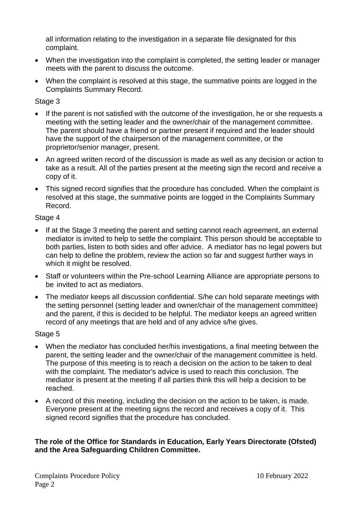all information relating to the investigation in a separate file designated for this complaint.

- When the investigation into the complaint is completed, the setting leader or manager meets with the parent to discuss the outcome.
- When the complaint is resolved at this stage, the summative points are logged in the Complaints Summary Record.

## Stage 3

- If the parent is not satisfied with the outcome of the investigation, he or she requests a meeting with the setting leader and the owner/chair of the management committee. The parent should have a friend or partner present if required and the leader should have the support of the chairperson of the management committee, or the proprietor/senior manager, present.
- An agreed written record of the discussion is made as well as any decision or action to take as a result. All of the parties present at the meeting sign the record and receive a copy of it.
- This signed record signifies that the procedure has concluded. When the complaint is resolved at this stage, the summative points are logged in the Complaints Summary Record.

## Stage 4

- If at the Stage 3 meeting the parent and setting cannot reach agreement, an external mediator is invited to help to settle the complaint. This person should be acceptable to both parties, listen to both sides and offer advice. A mediator has no legal powers but can help to define the problem, review the action so far and suggest further ways in which it might be resolved.
- Staff or volunteers within the Pre-school Learning Alliance are appropriate persons to be invited to act as mediators.
- The mediator keeps all discussion confidential. S/he can hold separate meetings with the setting personnel (setting leader and owner/chair of the management committee) and the parent, if this is decided to be helpful. The mediator keeps an agreed written record of any meetings that are held and of any advice s/he gives.

## Stage 5

- When the mediator has concluded her/his investigations, a final meeting between the parent, the setting leader and the owner/chair of the management committee is held. The purpose of this meeting is to reach a decision on the action to be taken to deal with the complaint. The mediator's advice is used to reach this conclusion. The mediator is present at the meeting if all parties think this will help a decision to be reached.
- A record of this meeting, including the decision on the action to be taken, is made. Everyone present at the meeting signs the record and receives a copy of it. This signed record signifies that the procedure has concluded.

## **The role of the Office for Standards in Education, Early Years Directorate (Ofsted) and the Area Safeguarding Children Committee.**